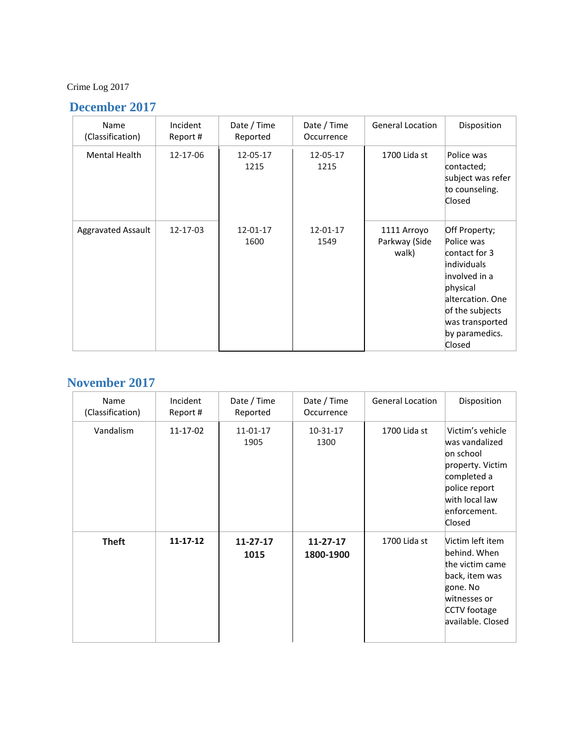### Crime Log 2017

#### **December 2017**

| Name<br>(Classification)  | Incident<br>Report # | Date / Time<br>Reported | Date / Time<br>Occurrence | <b>General Location</b>               | Disposition                                                                                                                                                                           |
|---------------------------|----------------------|-------------------------|---------------------------|---------------------------------------|---------------------------------------------------------------------------------------------------------------------------------------------------------------------------------------|
| <b>Mental Health</b>      | 12-17-06             | 12-05-17<br>1215        | 12-05-17<br>1215          | 1700 Lida st                          | Police was<br>contacted;<br>subject was refer<br>to counseling.<br>Closed                                                                                                             |
| <b>Aggravated Assault</b> | 12-17-03             | 12-01-17<br>1600        | 12-01-17<br>1549          | 1111 Arroyo<br>Parkway (Side<br>walk) | Off Property;<br>Police was<br>contact for 3<br><i>individuals</i><br>involved in a<br>physical<br>altercation. One<br>of the subjects<br>was transported<br>by paramedics.<br>Closed |

#### **November 2017**

| Name<br>(Classification) | Incident<br>Report # | Date / Time<br>Reported | Date / Time<br>Occurrence   | <b>General Location</b> | Disposition                                                                                                                                     |
|--------------------------|----------------------|-------------------------|-----------------------------|-------------------------|-------------------------------------------------------------------------------------------------------------------------------------------------|
| Vandalism                | 11-17-02             | 11-01-17<br>1905        | 10-31-17<br>1300            | 1700 Lida st            | Victim's vehicle<br>was vandalized<br>on school<br>property. Victim<br>completed a<br>police report<br>with local law<br>enforcement.<br>Closed |
| <b>Theft</b>             | $11 - 17 - 12$       | $11 - 27 - 17$<br>1015  | $11 - 27 - 17$<br>1800-1900 | 1700 Lida st            | Victim left item<br>behind. When<br>the victim came<br>back, item was<br>gone. No<br>witnesses or<br>CCTV footage<br>available. Closed          |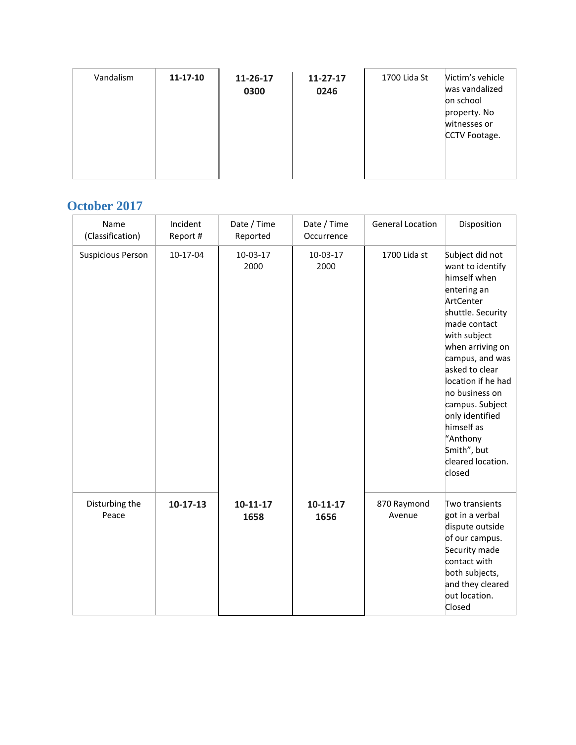| Vandalism | $11 - 17 - 10$ | 11-26-17<br>0300 | $11 - 27 - 17$<br>0246 | 1700 Lida St | Victim's vehicle<br>was vandalized<br>on school<br>property. No<br>witnesses or<br>CCTV Footage. |
|-----------|----------------|------------------|------------------------|--------------|--------------------------------------------------------------------------------------------------|
|           |                |                  |                        |              |                                                                                                  |

#### **October 2017**

| Name<br>(Classification) | Incident<br>Report # | Date / Time<br>Reported | Date / Time<br>Occurrence | <b>General Location</b> | Disposition                                                                                                                                                                                                                                                                                                                                         |
|--------------------------|----------------------|-------------------------|---------------------------|-------------------------|-----------------------------------------------------------------------------------------------------------------------------------------------------------------------------------------------------------------------------------------------------------------------------------------------------------------------------------------------------|
| <b>Suspicious Person</b> | 10-17-04             | 10-03-17<br>2000        | 10-03-17<br>2000          | 1700 Lida st            | Subject did not<br>want to identify<br>himself when<br>entering an<br>ArtCenter<br>shuttle. Security<br>made contact<br>with subject<br>when arriving on<br>campus, and was<br>asked to clear<br>location if he had<br>no business on<br>campus. Subject<br>only identified<br>himself as<br>"Anthony<br>Smith", but<br>cleared location.<br>closed |
| Disturbing the<br>Peace  | $10-17-13$           | $10 - 11 - 17$<br>1658  | $10 - 11 - 17$<br>1656    | 870 Raymond<br>Avenue   | Two transients<br>got in a verbal<br>dispute outside<br>of our campus.<br>Security made<br>contact with<br>both subjects,<br>and they cleared<br>out location.<br>Closed                                                                                                                                                                            |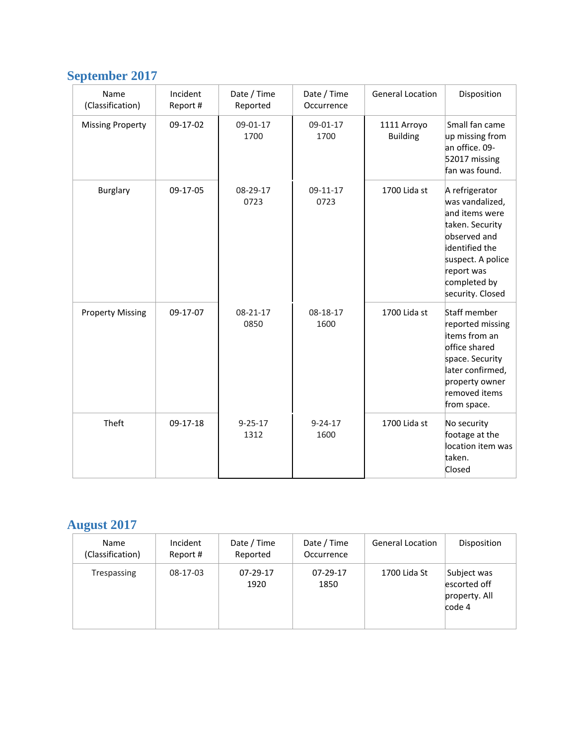# **September 2017**

| Name<br>(Classification) | Incident<br>Report # | Date / Time<br>Reported | Date / Time<br>Occurrence | <b>General Location</b>        | Disposition                                                                                                                                                                     |
|--------------------------|----------------------|-------------------------|---------------------------|--------------------------------|---------------------------------------------------------------------------------------------------------------------------------------------------------------------------------|
| <b>Missing Property</b>  | 09-17-02             | 09-01-17<br>1700        | 09-01-17<br>1700          | 1111 Arroyo<br><b>Building</b> | Small fan came<br>up missing from<br>an office. 09-<br>52017 missing<br>fan was found.                                                                                          |
| <b>Burglary</b>          | 09-17-05             | 08-29-17<br>0723        | 09-11-17<br>0723          | 1700 Lida st                   | A refrigerator<br>was vandalized,<br>and items were<br>taken. Security<br>observed and<br>identified the<br>suspect. A police<br>report was<br>completed by<br>security. Closed |
| <b>Property Missing</b>  | 09-17-07             | 08-21-17<br>0850        | 08-18-17<br>1600          | 1700 Lida st                   | Staff member<br>reported missing<br>items from an<br>office shared<br>space. Security<br>later confirmed,<br>property owner<br>removed items<br>from space.                     |
| Theft                    | 09-17-18             | $9 - 25 - 17$<br>1312   | $9 - 24 - 17$<br>1600     | 1700 Lida st                   | No security<br>footage at the<br>location item was<br>taken.<br>Closed                                                                                                          |

# **August 2017**

| <b>Name</b><br>(Classification) | Incident<br>Report # | Date / Time<br>Reported | Date / Time<br>Occurrence | <b>General Location</b> | Disposition                                            |
|---------------------------------|----------------------|-------------------------|---------------------------|-------------------------|--------------------------------------------------------|
| Trespassing                     | 08-17-03             | $07-29-17$<br>1920      | 07-29-17<br>1850          | 1700 Lida St            | Subject was<br>escorted off<br>property. All<br>code 4 |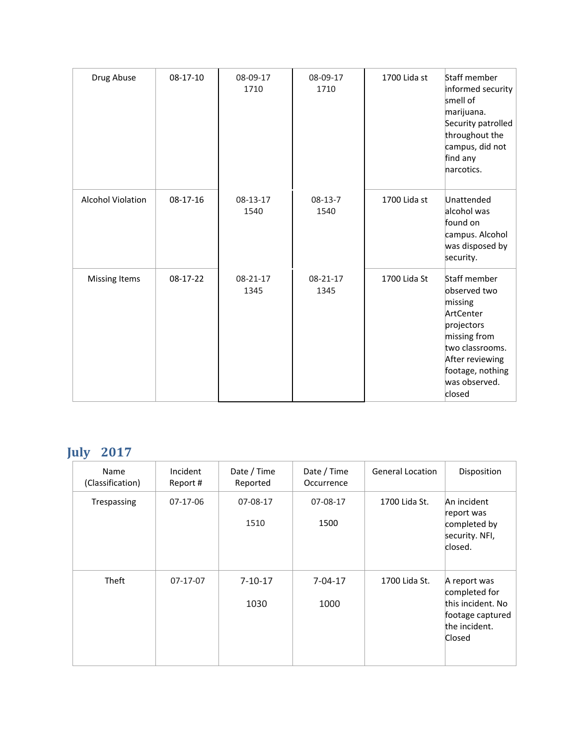| Drug Abuse               | 08-17-10 | 08-09-17<br>1710 | 08-09-17<br>1710  | 1700 Lida st | Staff member<br>informed security<br>smell of<br>marijuana.<br>Security patrolled<br>throughout the<br>campus, did not<br>find any<br>narcotics.                        |
|--------------------------|----------|------------------|-------------------|--------------|-------------------------------------------------------------------------------------------------------------------------------------------------------------------------|
| <b>Alcohol Violation</b> | 08-17-16 | 08-13-17<br>1540 | $08-13-7$<br>1540 | 1700 Lida st | Unattended<br>alcohol was<br>found on<br>campus. Alcohol<br>was disposed by<br>security.                                                                                |
| <b>Missing Items</b>     | 08-17-22 | 08-21-17<br>1345 | 08-21-17<br>1345  | 1700 Lida St | Staff member<br>observed two<br>missing<br>ArtCenter<br>projectors<br>missing from<br>two classrooms.<br>After reviewing<br>footage, nothing<br>was observed.<br>closed |

# **July 2017**

| Name<br>(Classification) | Incident<br>Report# | Date / Time<br>Reported | Date / Time<br>Occurrence | <b>General Location</b> | Disposition                                                                                       |
|--------------------------|---------------------|-------------------------|---------------------------|-------------------------|---------------------------------------------------------------------------------------------------|
| Trespassing              | 07-17-06            | 07-08-17<br>1510        | 07-08-17<br>1500          | 1700 Lida St.           | An incident<br>report was<br>completed by<br>security. NFI,<br>closed.                            |
| <b>Theft</b>             | $07-17-07$          | $7 - 10 - 17$<br>1030   | $7 - 04 - 17$<br>1000     | 1700 Lida St.           | A report was<br>completed for<br>this incident. No<br>footage captured<br>the incident.<br>Closed |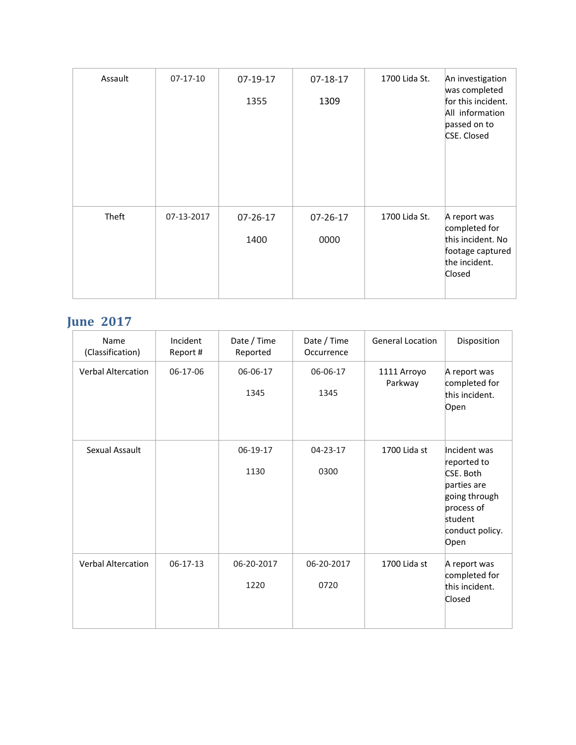| Assault | $07-17-10$ | 07-19-17<br>1355 | $07 - 18 - 17$<br>1309 | 1700 Lida St. | An investigation<br>was completed<br>for this incident.<br>All information<br>passed on to<br>CSE. Closed |
|---------|------------|------------------|------------------------|---------------|-----------------------------------------------------------------------------------------------------------|
| Theft   | 07-13-2017 | 07-26-17<br>1400 | $07 - 26 - 17$<br>0000 | 1700 Lida St. | A report was<br>completed for<br>this incident. No<br>footage captured<br>the incident.<br>Closed         |

### **June 2017**

| Name<br>(Classification)  | Incident<br>Report # | Date / Time<br>Reported | Date / Time<br>Occurrence | <b>General Location</b> | Disposition                                                                                                                  |
|---------------------------|----------------------|-------------------------|---------------------------|-------------------------|------------------------------------------------------------------------------------------------------------------------------|
| <b>Verbal Altercation</b> | 06-17-06             | 06-06-17<br>1345        | 06-06-17<br>1345          | 1111 Arroyo<br>Parkway  | A report was<br>completed for<br>this incident.<br>Open                                                                      |
| Sexual Assault            |                      | 06-19-17<br>1130        | 04-23-17<br>0300          | 1700 Lida st            | Incident was<br>reported to<br>CSE. Both<br>parties are<br>going through<br>process of<br>student<br>conduct policy.<br>Open |
| <b>Verbal Altercation</b> | $06-17-13$           | 06-20-2017<br>1220      | 06-20-2017<br>0720        | 1700 Lida st            | A report was<br>completed for<br>this incident.<br>Closed                                                                    |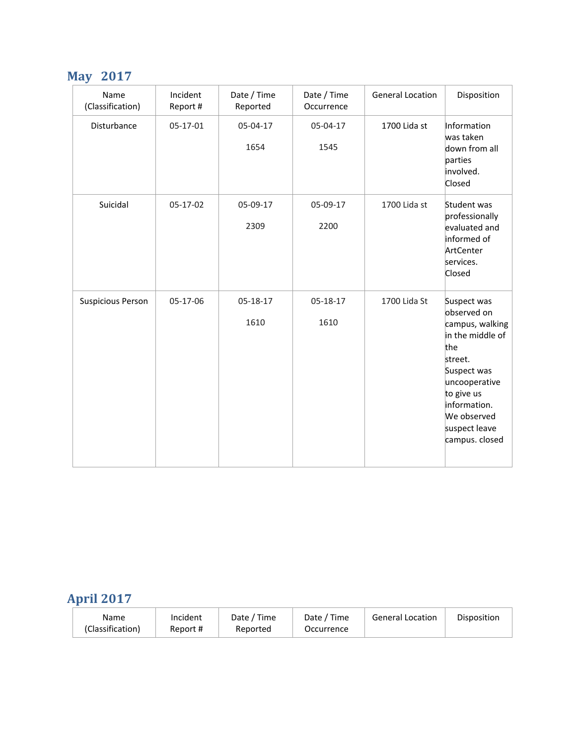## **May 2017**

| Name<br>(Classification) | Incident<br>Report # | Date / Time<br>Reported | Date / Time<br>Occurrence | <b>General Location</b> | Disposition                                                                                                                                                                                         |
|--------------------------|----------------------|-------------------------|---------------------------|-------------------------|-----------------------------------------------------------------------------------------------------------------------------------------------------------------------------------------------------|
| Disturbance              | 05-17-01             | 05-04-17<br>1654        | 05-04-17<br>1545          | 1700 Lida st            | Information<br>was taken<br>down from all<br>parties<br>involved.<br>Closed                                                                                                                         |
| Suicidal                 | 05-17-02             | 05-09-17<br>2309        | 05-09-17<br>2200          | 1700 Lida st            | Student was<br>professionally<br>evaluated and<br>informed of<br>ArtCenter<br>services.<br>Closed                                                                                                   |
| <b>Suspicious Person</b> | 05-17-06             | 05-18-17<br>1610        | 05-18-17<br>1610          | 1700 Lida St            | Suspect was<br>observed on<br>campus, walking<br>in the middle of<br>the<br>street.<br>Suspect was<br>uncooperative<br>to give us<br>information.<br>We observed<br>suspect leave<br>campus. closed |

## **April 2017**

| Date / Time<br>Incident<br>Name<br>(Classification)<br>Report #<br>Reported | <sup>1</sup> Time<br>Date /<br>Occurrence | General Location | Disposition |
|-----------------------------------------------------------------------------|-------------------------------------------|------------------|-------------|
|-----------------------------------------------------------------------------|-------------------------------------------|------------------|-------------|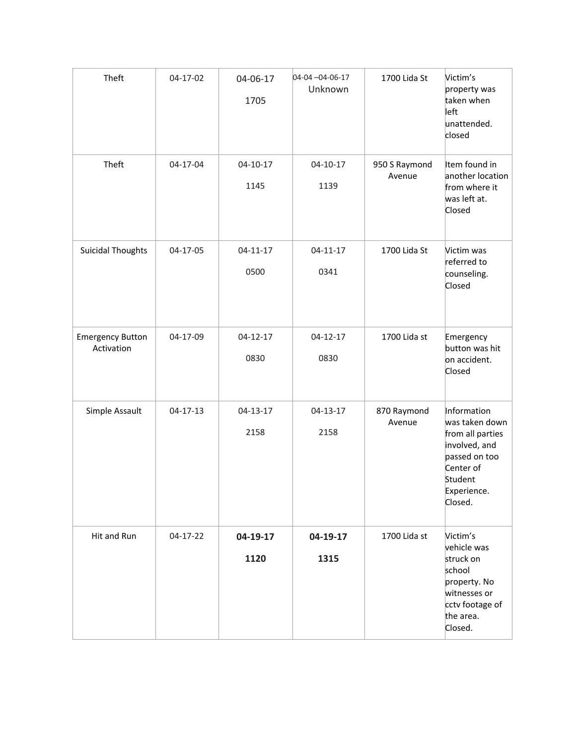| Theft                                 | 04-17-02       | 04-06-17<br>1705       | 04-04-04-06-17<br>Unknown | 1700 Lida St            | Victim's<br>property was<br>taken when<br>left<br>unattended.<br>closed                                                               |
|---------------------------------------|----------------|------------------------|---------------------------|-------------------------|---------------------------------------------------------------------------------------------------------------------------------------|
| Theft                                 | 04-17-04       | 04-10-17<br>1145       | 04-10-17<br>1139          | 950 S Raymond<br>Avenue | Item found in<br>another location<br>from where it<br>was left at.<br>Closed                                                          |
| <b>Suicidal Thoughts</b>              | 04-17-05       | $04 - 11 - 17$<br>0500 | $04 - 11 - 17$<br>0341    | 1700 Lida St            | Victim was<br>referred to<br>counseling.<br>Closed                                                                                    |
| <b>Emergency Button</b><br>Activation | 04-17-09       | $04 - 12 - 17$<br>0830 | $04 - 12 - 17$<br>0830    | 1700 Lida st            | Emergency<br>button was hit<br>on accident.<br>Closed                                                                                 |
| Simple Assault                        | $04 - 17 - 13$ | 04-13-17<br>2158       | 04-13-17<br>2158          | 870 Raymond<br>Avenue   | Information<br>was taken down<br>from all parties<br>involved, and<br>passed on too<br>Center of<br>Student<br>Experience.<br>Closed. |
| Hit and Run                           | 04-17-22       | 04-19-17<br>1120       | 04-19-17<br>1315          | 1700 Lida st            | Victim's<br>vehicle was<br>struck on<br>school<br>property. No<br>witnesses or<br>cctv footage of<br>the area.<br>Closed.             |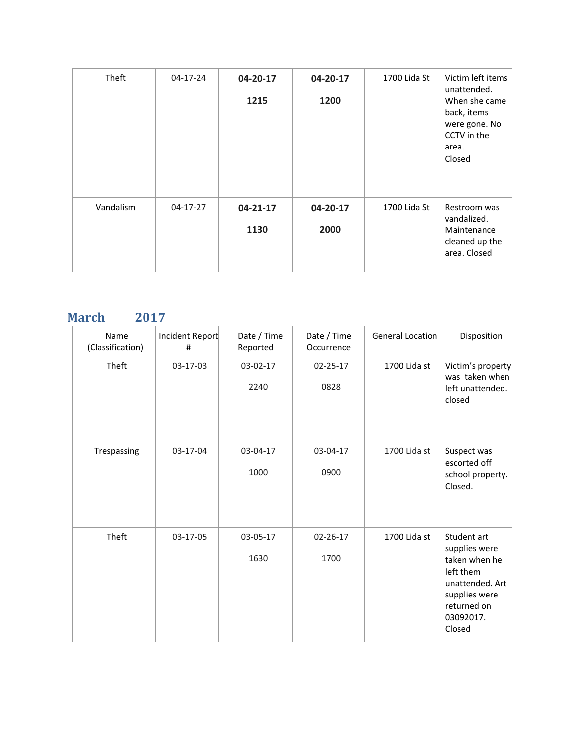| <b>Theft</b> | 04-17-24   | 04-20-17<br>1215       | 04-20-17<br>1200 | 1700 Lida St | Victim left items<br>unattended.<br>When she came<br>back, items<br>were gone. No<br>CCTV in the<br>area.<br>Closed |
|--------------|------------|------------------------|------------------|--------------|---------------------------------------------------------------------------------------------------------------------|
| Vandalism    | $04-17-27$ | $04 - 21 - 17$<br>1130 | 04-20-17<br>2000 | 1700 Lida St | Restroom was<br>vandalized.<br>Maintenance<br>cleaned up the<br>area. Closed                                        |

### **March 2017**

| Name<br>(Classification) | Incident Report<br># | Date / Time<br>Reported | Date / Time<br>Occurrence | <b>General Location</b> | Disposition                                                                                                                          |
|--------------------------|----------------------|-------------------------|---------------------------|-------------------------|--------------------------------------------------------------------------------------------------------------------------------------|
| Theft                    | 03-17-03             | 03-02-17<br>2240        | 02-25-17<br>0828          | 1700 Lida st            | Victim's property<br>was taken when<br>left unattended.<br>closed                                                                    |
| Trespassing              | 03-17-04             | 03-04-17<br>1000        | 03-04-17<br>0900          | 1700 Lida st            | Suspect was<br>escorted off<br>school property.<br>Closed.                                                                           |
| Theft                    | 03-17-05             | 03-05-17<br>1630        | $02 - 26 - 17$<br>1700    | 1700 Lida st            | Student art<br>supplies were<br>taken when he<br>left them<br>unattended. Art<br>supplies were<br>returned on<br>03092017.<br>Closed |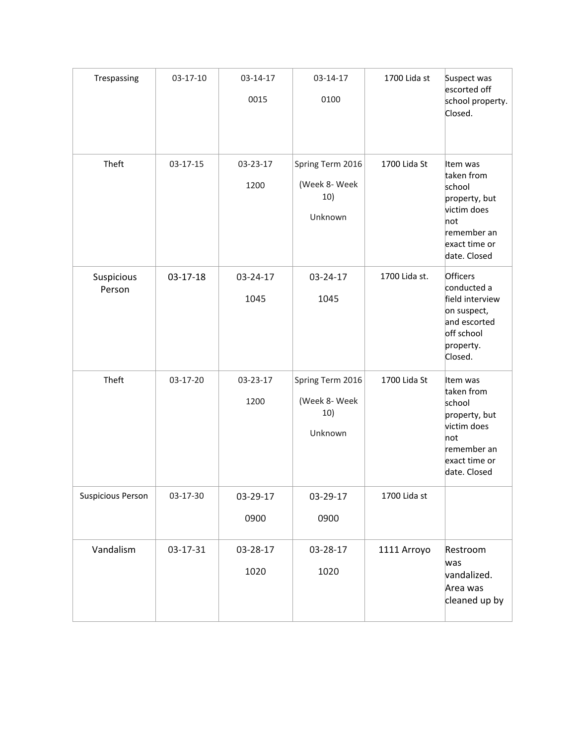| Trespassing              | 03-17-10       | 03-14-17<br>0015 | 03-14-17<br>0100                                    | 1700 Lida st  | Suspect was<br>escorted off<br>school property.<br>Closed.                                                              |
|--------------------------|----------------|------------------|-----------------------------------------------------|---------------|-------------------------------------------------------------------------------------------------------------------------|
| Theft                    | 03-17-15       | 03-23-17<br>1200 | Spring Term 2016<br>(Week 8- Week<br>10)<br>Unknown | 1700 Lida St  | Item was<br>taken from<br>school<br>property, but<br>victim does<br>not<br>remember an<br>exact time or<br>date. Closed |
| Suspicious<br>Person     | $03 - 17 - 18$ | 03-24-17<br>1045 | 03-24-17<br>1045                                    | 1700 Lida st. | Officers<br>conducted a<br>field interview<br>on suspect,<br>and escorted<br>off school<br>property.<br>Closed.         |
| Theft                    | 03-17-20       | 03-23-17<br>1200 | Spring Term 2016<br>(Week 8- Week<br>10)<br>Unknown | 1700 Lida St  | Item was<br>taken from<br>school<br>property, but<br>victim does<br>not<br>remember an<br>exact time or<br>date. Closed |
| <b>Suspicious Person</b> | 03-17-30       | 03-29-17<br>0900 | 03-29-17<br>0900                                    | 1700 Lida st  |                                                                                                                         |
| Vandalism                | 03-17-31       | 03-28-17<br>1020 | 03-28-17<br>1020                                    | 1111 Arroyo   | Restroom<br>was<br>vandalized.<br>Area was<br>cleaned up by                                                             |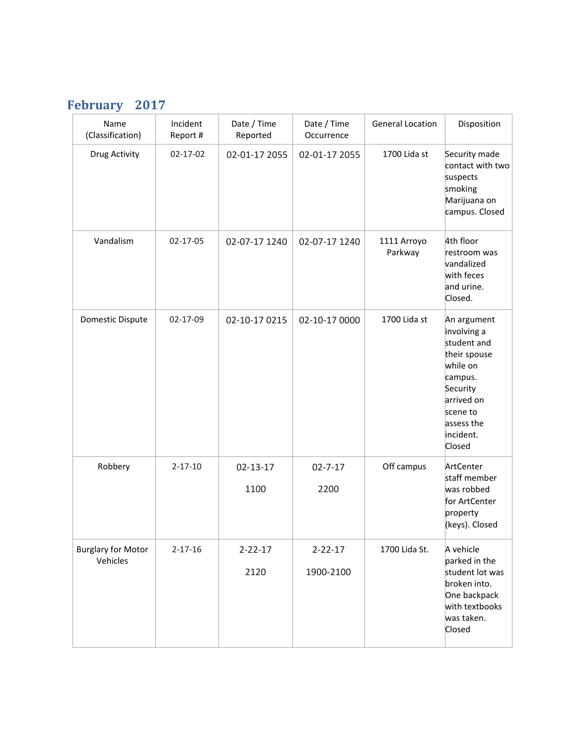## **February 2017**

| Name<br>(Classification)              | Incident<br>Report # | Date / Time<br>Reported | Date / Time<br>Occurrence  | <b>General Location</b> | Disposition                                                                                                                                                 |
|---------------------------------------|----------------------|-------------------------|----------------------------|-------------------------|-------------------------------------------------------------------------------------------------------------------------------------------------------------|
| Drug Activity                         | 02-17-02             | 02-01-17 2055           | 02-01-17 2055              | 1700 Lida st            | Security made<br>contact with two<br>suspects<br>smoking<br>Marijuana on<br>campus. Closed                                                                  |
| Vandalism                             | 02-17-05             | 02-07-17 1240           | 02-07-17 1240              | 1111 Arroyo<br>Parkway  | 4th floor<br>restroom was<br>vandalized<br>with feces<br>and urine.<br>Closed.                                                                              |
| Domestic Dispute                      | 02-17-09             | 02-10-17 0215           | 02-10-17 0000              | 1700 Lida st            | An argument<br>involving a<br>student and<br>their spouse<br>while on<br>campus.<br>Security<br>arrived on<br>scene to<br>assess the<br>incident.<br>Closed |
| Robbery                               | $2 - 17 - 10$        | $02 - 13 - 17$<br>1100  | $02 - 7 - 17$<br>2200      | Off campus              | ArtCenter<br>staff member<br>was robbed<br>for ArtCenter<br>property<br>(keys). Closed                                                                      |
| <b>Burglary for Motor</b><br>Vehicles | $2 - 17 - 16$        | $2 - 22 - 17$<br>2120   | $2 - 22 - 17$<br>1900-2100 | 1700 Lida St.           | A vehicle<br>parked in the<br>student lot was<br>broken into.<br>One backpack<br>with textbooks<br>was taken.<br>Closed                                     |